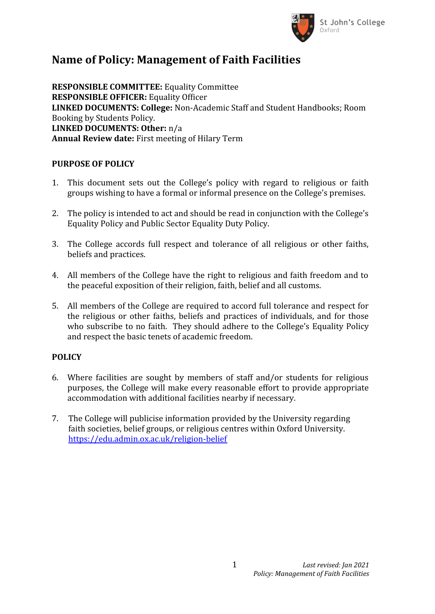

## **Name of Policy: Management of Faith Facilities**

**RESPONSIBLE COMMITTEE:** Equality Committee **RESPONSIBLE OFFICER:** Equality Officer **LINKED DOCUMENTS: College:** Non-Academic Staff and Student Handbooks; Room Booking by Students Policy. **LINKED DOCUMENTS: Other:** n/a **Annual Review date:** First meeting of Hilary Term

## **PURPOSE OF POLICY**

- 1. This document sets out the College's policy with regard to religious or faith groups wishing to have a formal or informal presence on the College's premises.
- 2. The policy is intended to act and should be read in conjunction with the College's Equality Policy and Public Sector Equality Duty Policy.
- 3. The College accords full respect and tolerance of all religious or other faiths, beliefs and practices.
- 4. All members of the College have the right to religious and faith freedom and to the peaceful exposition of their religion, faith, belief and all customs.
- 5. All members of the College are required to accord full tolerance and respect for the religious or other faiths, beliefs and practices of individuals, and for those who subscribe to no faith. They should adhere to the College's Equality Policy and respect the basic tenets of academic freedom.

## **POLICY**

- 6. Where facilities are sought by members of staff and/or students for religious purposes, the College will make every reasonable effort to provide appropriate accommodation with additional facilities nearby if necessary.
- 7. The College will publicise information provided by the University regarding faith societies, belief groups, or religious centres within Oxford University. <https://edu.admin.ox.ac.uk/religion-belief>